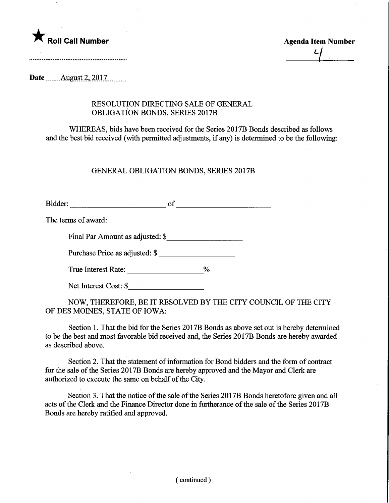

 $\frac{1}{4}$ 

Date  $\qquad$  August 2, 2017

## RESOLUTION DIRECTING SALE OF GENERAL OBLIGATION BONDS, SERIES 2017B

WHEREAS, bids have been received for the Series 2017B Bonds described as follows and the best bid received (with permitted adjustments, if any) is determined to be the following:

## GENERAL OBLIGATION BONDS, SERIES 2017B

Bidder: of of the contract of the contract of the contract of the contract of the contract of the contract of the contract of the contract of the contract of the contract of the contract of the contract of the contract of

The terms of award:

Final Par Amount as adjusted: \$

Purchase Price as adjusted: \$

True Interest Rate: \_\_\_\_\_\_\_\_\_\_\_\_\_\_\_\_\_\_\_\_\_%

Net Interest Cost: \$

NOW, THEREFORE, BE IT RESOLVED BY THE CITY COUNCIL OF THE CITY OF DES MOINES, STATE OF IOWA:

Section 1. That the bid for the Series 2017B Bonds as above set out is hereby determined to be the best and most favorable bid received and, the Series 2017B Bonds are hereby awarded as described above.

Section 2. That the statement of information for Bond bidders and the form of contract for the sale of the Series 2017B Bonds are hereby approved and the Mayor and Clerk are authorized to execute the same on behalf of the City.

Section 3. That the notice of the sale of the Series 2017B Bonds heretofore given and all acts of the Clerk and the Finance Director done in furtherance of the sale of the Series 2017B Bonds are hereby ratified and approved.